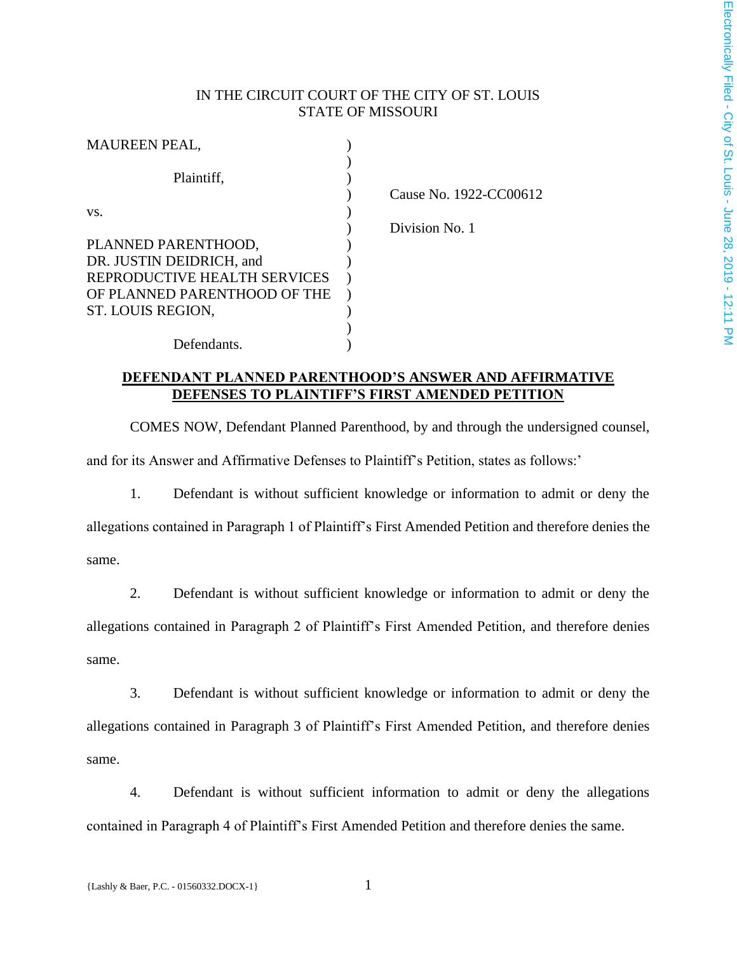## IN THE CIRCUIT COURT OF THE CITY OF ST. LOUIS STATE OF MISSOURI

| <b>MAUREEN PEAL,</b>         |  |
|------------------------------|--|
|                              |  |
| Plaintiff,                   |  |
|                              |  |
| VS.                          |  |
|                              |  |
| PLANNED PARENTHOOD,          |  |
| DR. JUSTIN DEIDRICH, and     |  |
| REPRODUCTIVE HEALTH SERVICES |  |
| OF PLANNED PARENTHOOD OF THE |  |
| ST. LOUIS REGION,            |  |
|                              |  |
| Defendants.                  |  |

) Cause No. 1922-CC00612

) Division No. 1

## **DEFENDANT PLANNED PARENTHOOD'S ANSWER AND AFFIRMATIVE DEFENSES TO PLAINTIFF'S FIRST AMENDED PETITION**

COMES NOW, Defendant Planned Parenthood, by and through the undersigned counsel, and for its Answer and Affirmative Defenses to Plaintiff's Petition, states as follows:'

1. Defendant is without sufficient knowledge or information to admit or deny the allegations contained in Paragraph 1 of Plaintiff's First Amended Petition and therefore denies the same.

2. Defendant is without sufficient knowledge or information to admit or deny the allegations contained in Paragraph 2 of Plaintiff's First Amended Petition, and therefore denies same.

3. Defendant is without sufficient knowledge or information to admit or deny the allegations contained in Paragraph 3 of Plaintiff's First Amended Petition, and therefore denies same.

4. Defendant is without sufficient information to admit or deny the allegations contained in Paragraph 4 of Plaintiff's First Amended Petition and therefore denies the same.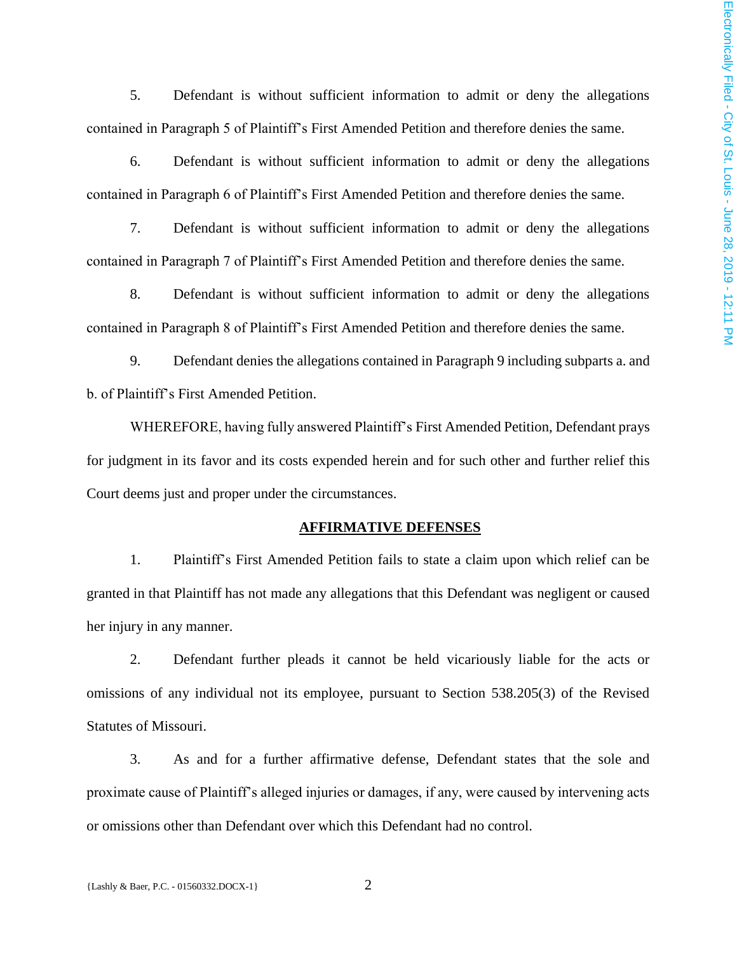5. Defendant is without sufficient information to admit or deny the allegations contained in Paragraph 5 of Plaintiff's First Amended Petition and therefore denies the same.

6. Defendant is without sufficient information to admit or deny the allegations contained in Paragraph 6 of Plaintiff's First Amended Petition and therefore denies the same.

7. Defendant is without sufficient information to admit or deny the allegations contained in Paragraph 7 of Plaintiff's First Amended Petition and therefore denies the same.

8. Defendant is without sufficient information to admit or deny the allegations contained in Paragraph 8 of Plaintiff's First Amended Petition and therefore denies the same.

9. Defendant denies the allegations contained in Paragraph 9 including subparts a. and b. of Plaintiff's First Amended Petition.

WHEREFORE, having fully answered Plaintiff's First Amended Petition, Defendant prays for judgment in its favor and its costs expended herein and for such other and further relief this Court deems just and proper under the circumstances.

## **AFFIRMATIVE DEFENSES**

1. Plaintiff's First Amended Petition fails to state a claim upon which relief can be granted in that Plaintiff has not made any allegations that this Defendant was negligent or caused her injury in any manner.

2. Defendant further pleads it cannot be held vicariously liable for the acts or omissions of any individual not its employee, pursuant to Section 538.205(3) of the Revised Statutes of Missouri.

3. As and for a further affirmative defense, Defendant states that the sole and proximate cause of Plaintiff's alleged injuries or damages, if any, were caused by intervening acts or omissions other than Defendant over which this Defendant had no control.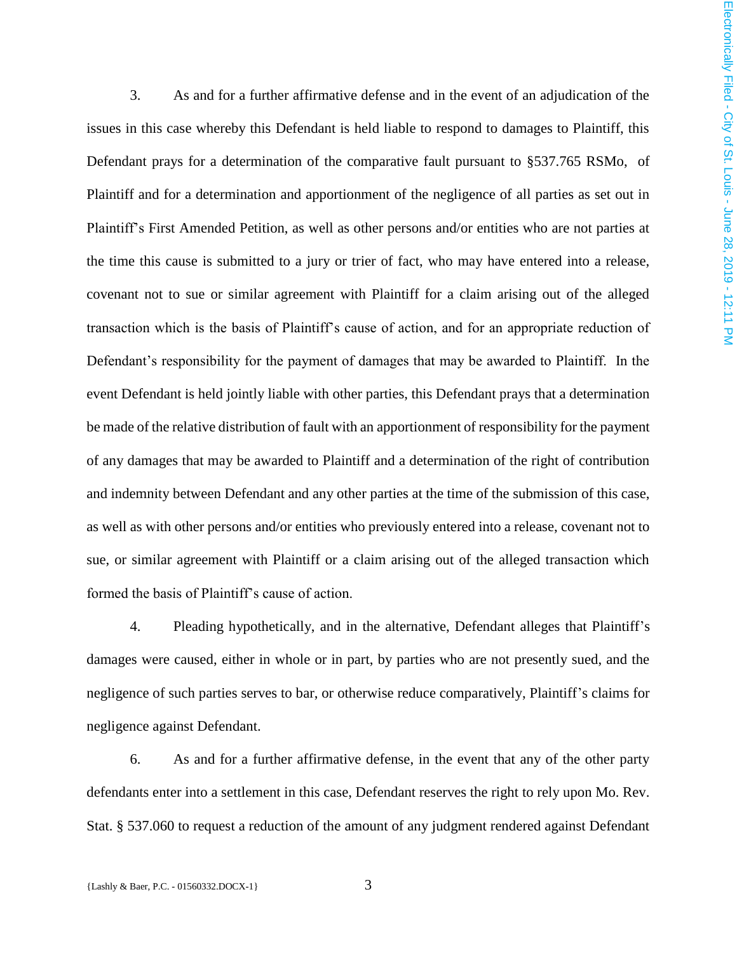3. As and for a further affirmative defense and in the event of an adjudication of the issues in this case whereby this Defendant is held liable to respond to damages to Plaintiff, this Defendant prays for a determination of the comparative fault pursuant to §537.765 RSMo, of Plaintiff and for a determination and apportionment of the negligence of all parties as set out in Plaintiff's First Amended Petition, as well as other persons and/or entities who are not parties at the time this cause is submitted to a jury or trier of fact, who may have entered into a release, covenant not to sue or similar agreement with Plaintiff for a claim arising out of the alleged transaction which is the basis of Plaintiff's cause of action, and for an appropriate reduction of Defendant's responsibility for the payment of damages that may be awarded to Plaintiff. In the event Defendant is held jointly liable with other parties, this Defendant prays that a determination be made of the relative distribution of fault with an apportionment of responsibility for the payment of any damages that may be awarded to Plaintiff and a determination of the right of contribution and indemnity between Defendant and any other parties at the time of the submission of this case, as well as with other persons and/or entities who previously entered into a release, covenant not to sue, or similar agreement with Plaintiff or a claim arising out of the alleged transaction which formed the basis of Plaintiff's cause of action.

4. Pleading hypothetically, and in the alternative, Defendant alleges that Plaintiff's damages were caused, either in whole or in part, by parties who are not presently sued, and the negligence of such parties serves to bar, or otherwise reduce comparatively, Plaintiff's claims for negligence against Defendant.

6. As and for a further affirmative defense, in the event that any of the other party defendants enter into a settlement in this case, Defendant reserves the right to rely upon Mo. Rev. Stat. § 537.060 to request a reduction of the amount of any judgment rendered against Defendant